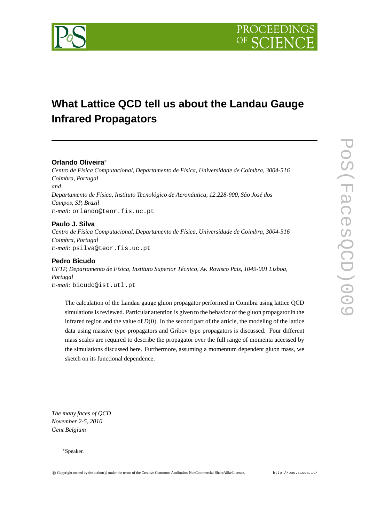

# **What Lattice QCD tell us about the Landau Gauge Infrared Propagators**

# **Orlando Oliveira**<sup>∗</sup>

*Centro de Física Computacional, Departamento de Física, Universidade de Coimbra, 3004-516 Coimbra, Portugal and Departamento de Física, Instituto Tecnológico de Aeronáutica, 12.228-900, São José dos Campos, SP, Brazil E-mail:* orlando@teor.fis.uc.pt

# **Paulo J. Silva**

*Centro de Física Computacional, Departamento de Física, Universidade de Coimbra, 3004-516 Coimbra, Portugal E-mail:* psilva@teor.fis.uc.pt

# **Pedro Bicudo**

*CFTP, Departamento de Física, Instituto Superior Técnico, Av. Rovisco Pais, 1049-001 Lisboa, Portugal E-mail:* bicudo@ist.utl.pt

The calculation of the Landau gauge gluon propagator performed in Coimbra using lattice QCD simulations is reviewed. Particular attention is given to the behavior of the gluon propagator in the infrared region and the value of  $D(0)$ . In the second part of the article, the modeling of the lattice data using massive type propagators and Gribov type propagators is discussed. Four different mass scales are required to describe the propagator over the full range of momenta accessed by the simulations discussed here. Furthermore, assuming a momentum dependent gluon mass, we sketch on its functional dependence.

*The many faces of QCD November 2-5, 2010 Gent Belgium*

#### <sup>∗</sup>Speaker.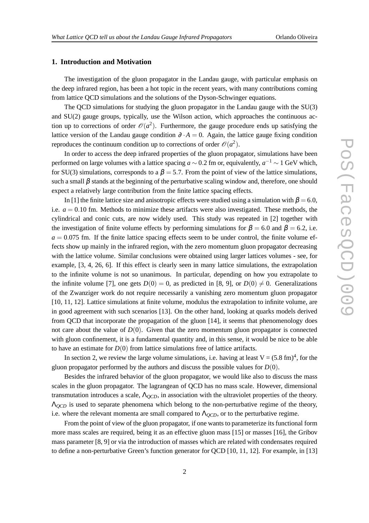# **1. Introduction and Motivation**

The investigation of the gluon propagator in the Landau gauge, with particular emphasis on the deep infrared region, has been a hot topic in the recent years, with many contributions coming from lattice QCD simulations and the solutions of the Dyson-Schwinger equations.

The QCD simulations for studying the gluon propagator in the Landau gauge with the SU(3) and  $SU(2)$  gauge groups, typically, use the Wilson action, which approaches the continuous action up to corrections of order  $\mathcal{O}(a^2)$ . Furthermore, the gauge procedure ends up satisfying the lattice version of the Landau gauge condition  $\partial \cdot A = 0$ . Again, the lattice gauge fixing condition reproduces the continuum condition up to corrections of order  $\mathcal{O}(a^2)$ .

In order to access the deep infrared properties of the gluon propagator, simulations have been performed on large volumes with a lattice spacing  $a \sim 0.2$  fm or, equivalently,  $a^{-1} \sim 1$  GeV which, for SU(3) simulations, corresponds to a  $\beta = 5.7$ . From the point of view of the lattice simulations, such a small  $\beta$  stands at the beginning of the perturbative scaling window and, therefore, one should expect a relatively large contribution from the finite lattice spacing effects.

In [1] the finite lattice size and anisotropic effects were studied using a simulation with  $\beta = 6.0$ , i.e.  $a = 0.10$  fm. Methods to minimize these artifacts were also investigated. These methods, the cylindrical and conic cuts, are now widely used. This study was repeated in [2] together with the investigation of finite volume effects by performing simulations for  $\beta = 6.0$  and  $\beta = 6.2$ , i.e.  $a = 0.075$  fm. If the finite lattice spacing effects seem to be under control, the finite volume effects show up mainly in the infrared region, with the zero momentum gluon propagator decreasing with the lattice volume. Similar conclusions were obtained using larger lattices volumes - see, for example, [3, 4, 26, 6]. If this effect is clearly seen in many lattice simulations, the extrapolation to the infinite volume is not so unanimous. In particular, depending on how you extrapolate to the infinite volume [7], one gets  $D(0) = 0$ , as predicted in [8, 9], or  $D(0) \neq 0$ . Generalizations of the Zwanziger work do not require necessarily a vanishing zero momentum gluon propagator [10, 11, 12]. Lattice simulations at finite volume, modulus the extrapolation to infinite volume, are in good agreement with such scenarios [13]. On the other hand, looking at quarks models derived from QCD that incorporate the propagation of the gluon [14], it seems that phenomenology does not care about the value of  $D(0)$ . Given that the zero momentum gluon propagator is connected with gluon confinement, it is a fundamental quantity and, in this sense, it would be nice to be able to have an estimate for  $D(0)$  from lattice simulations free of lattice artifacts.

In section 2, we review the large volume simulations, i.e. having at least  $V = (5.8 \text{ fm})^4$ , for the gluon propagator performed by the authors and discuss the possible values for *D*(0).

Besides the infrared behavior of the gluon propagator, we would like also to discuss the mass scales in the gluon propagator. The lagrangean of QCD has no mass scale. However, dimensional transmutation introduces a scale, Λ*QCD*, in association with the ultraviolet properties of the theory. Λ*QCD* is used to separate phenomena which belong to the non-perturbative regime of the theory, i.e. where the relevant momenta are small compared to  $\Lambda_{QCD}$ , or to the perturbative regime.

From the point of view of the gluon propagator, if one wants to parameterize its functional form more mass scales are required, being it as an effective gluon mass [15] or masses [16], the Gribov mass parameter [8, 9] or via the introduction of masses which are related with condensates required to define a non-perturbative Green's function generator for QCD [10, 11, 12]. For example, in [13]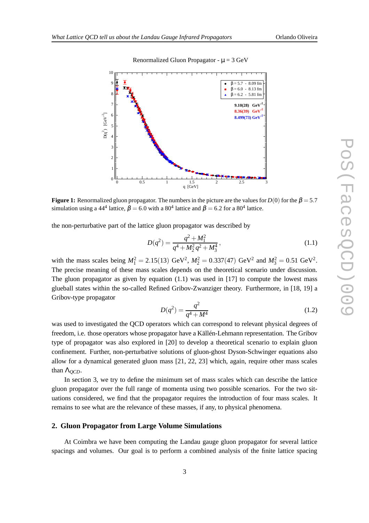

#### Renormalized Gluon Propagator -  $\mu = 3$  GeV

**Figure 1:** Renormalized gluon propagator. The numbers in the picture are the values for  $D(0)$  for the  $\beta = 5.7$ simulation using a 44<sup>4</sup> lattice,  $\beta = 6.0$  with a 80<sup>4</sup> lattice and  $\beta = 6.2$  for a 80<sup>4</sup> lattice.

the non-perturbative part of the lattice gluon propagator was described by

$$
D(q^2) = \frac{q^2 + M_1^2}{q^4 + M_2^2 q^2 + M_3^4},
$$
\n(1.1)

with the mass scales being  $M_1^2 = 2.15(13) \text{ GeV}^2$ ,  $M_2^2 = 0.337(47) \text{ GeV}^2$  and  $M_3^2 = 0.51 \text{ GeV}^2$ . The precise meaning of these mass scales depends on the theoretical scenario under discussion. The gluon propagator as given by equation  $(1.1)$  was used in  $[17]$  to compute the lowest mass glueball states within the so-called Refined Gribov-Zwanziger theory. Furthermore, in [18, 19] a Gribov-type propagator

$$
D(q^2) = \frac{q^2}{q^4 + M^4} \tag{1.2}
$$

was used to investigated the QCD operators which can correspond to relevant physical degrees of freedom, i.e. those operators whose propagator have a Källén-Lehmann representation. The Gribov type of propagator was also explored in [20] to develop a theoretical scenario to explain gluon confinement. Further, non-perturbative solutions of gluon-ghost Dyson-Schwinger equations also allow for a dynamical generated gluon mass [21, 22, 23] which, again, require other mass scales than Λ<sub>*OCD*</sub>.

In section 3, we try to define the minimum set of mass scales which can describe the lattice gluon propagator over the full range of momenta using two possible scenarios. For the two situations considered, we find that the propagator requires the introduction of four mass scales. It remains to see what are the relevance of these masses, if any, to physical phenomena.

#### **2. Gluon Propagator from Large Volume Simulations**

At Coimbra we have been computing the Landau gauge gluon propagator for several lattice spacings and volumes. Our goal is to perform a combined analysis of the finite lattice spacing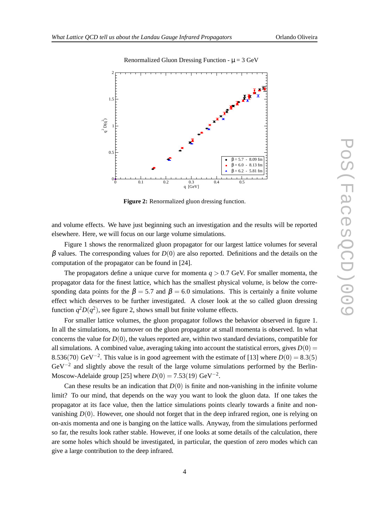

## Renormalized Gluon Dressing Function -  $\mu = 3$  GeV

**Figure 2:** Renormalized gluon dressing function.

and volume effects. We have just beginning such an investigation and the results will be reported elsewhere. Here, we will focus on our large volume simulations.

Figure 1 shows the renormalized gluon propagator for our largest lattice volumes for several  $β$  values. The corresponding values for  $D(0)$  are also reported. Definitions and the details on the computation of the propagator can be found in [24].

The propagators define a unique curve for momenta  $q > 0.7$  GeV. For smaller momenta, the propagator data for the finest lattice, which has the smallest physical volume, is below the corresponding data points for the  $\beta = 5.7$  and  $\beta = 6.0$  simulations. This is certainly a finite volume effect which deserves to be further investigated. A closer look at the so called gluon dressing function  $q^2D(q^2)$ , see figure 2, shows small but finite volume effects.

For smaller lattice volumes, the gluon propagator follows the behavior observed in figure 1. In all the simulations, no turnover on the gluon propagator at small momenta is observed. In what concerns the value for  $D(0)$ , the values reported are, within two standard deviations, compatible for all simulations. A combined value, averaging taking into account the statistical errors, gives  $D(0)$  = 8.536(70) GeV<sup>-2</sup>. This value is in good agreement with the estimate of [13] where  $D(0) = 8.3(5)$  $GeV^{-2}$  and slightly above the result of the large volume simulations performed by the Berlin-Moscow-Adelaide group [25] where  $D(0) = 7.53(19) \text{ GeV}^{-2}$ .

Can these results be an indication that  $D(0)$  is finite and non-vanishing in the infinite volume limit? To our mind, that depends on the way you want to look the gluon data. If one takes the propagator at its face value, then the lattice simulations points clearly towards a finite and nonvanishing  $D(0)$ . However, one should not forget that in the deep infrared region, one is relying on on-axis momenta and one is banging on the lattice walls. Anyway, from the simulations performed so far, the results look rather stable. However, if one looks at some details of the calculation, there are some holes which should be investigated, in particular, the question of zero modes which can give a large contribution to the deep infrared.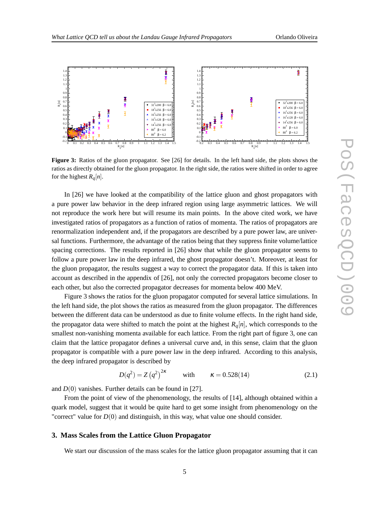

**Figure 3:** Ratios of the gluon propagator. See [26] for details. In the left hand side, the plots shows the ratios as directly obtained for the gluon propagator. In the right side, the ratios were shifted in order to agree for the highest  $R_q[n]$ .

In [26] we have looked at the compatibility of the lattice gluon and ghost propagators with a pure power law behavior in the deep infrared region using large asymmetric lattices. We will not reproduce the work here but will resume its main points. In the above cited work, we have investigated ratios of propagators as a function of ratios of momenta. The ratios of propagators are renormalization independent and, if the propagators are described by a pure power law, are universal functions. Furthermore, the advantage of the ratios being that they suppress finite volume/lattice spacing corrections. The results reported in [26] show that while the gluon propagator seems to follow a pure power law in the deep infrared, the ghost propagator doesn't. Moreover, at least for the gluon propagator, the results suggest a way to correct the propagator data. If this is taken into account as described in the appendix of [26], not only the corrected propagators become closer to each other, but also the corrected propagator decreases for momenta below 400 MeV.

Figure 3 shows the ratios for the gluon propagator computed for several lattice simulations. In the left hand side, the plot shows the ratios as measured from the gluon propagator. The differences between the different data can be understood as due to finite volume effects. In the right hand side, the propagator data were shifted to match the point at the highest  $R_q[n]$ , which corresponds to the smallest non-vanishing momenta available for each lattice. From the right part of figure 3, one can claim that the lattice propagator defines a universal curve and, in this sense, claim that the gluon propagator is compatible with a pure power law in the deep infrared. According to this analysis, the deep infrared propagator is described by

$$
D(q^{2}) = Z(q^{2})^{2\kappa} \qquad \text{with} \qquad \kappa = 0.528(14) \tag{2.1}
$$

and *D*(0) vanishes. Further details can be found in [27].

From the point of view of the phenomenology, the results of [14], although obtained within a quark model, suggest that it would be quite hard to get some insight from phenomenology on the "correct" value for  $D(0)$  and distinguish, in this way, what value one should consider.

#### **3. Mass Scales from the Lattice Gluon Propagator**

We start our discussion of the mass scales for the lattice gluon propagator assuming that it can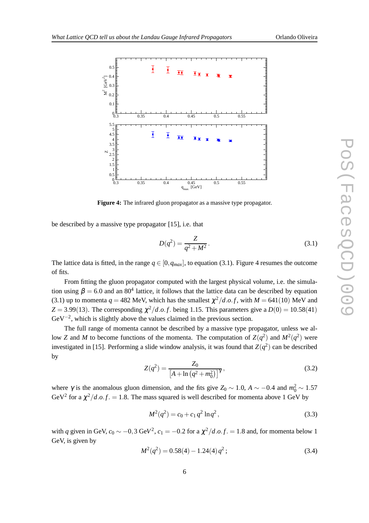

**Figure 4:** The infrared gluon propagator as a massive type propagator.

be described by a massive type propagator [15], i.e. that

$$
D(q^2) = \frac{Z}{q^2 + M^2}.
$$
\n(3.1)

The lattice data is fitted, in the range  $q \in [0, q_{max}]$ , to equation (3.1). Figure 4 resumes the outcome of fits.

From fitting the gluon propagator computed with the largest physical volume, i.e. the simulation using  $\beta = 6.0$  and an 80<sup>4</sup> lattice, it follows that the lattice data can be described by equation (3.1) up to momenta  $q = 482$  MeV, which has the smallest  $\chi^2/d.o.f$ , with  $M = 641(10)$  MeV and  $Z = 3.99(13)$ . The corresponding  $\chi^2/d.o.f.$  being 1.15. This parameters give a  $D(0) = 10.58(41)$  $GeV^{-2}$ , which is slightly above the values claimed in the previous section.

The full range of momenta cannot be described by a massive type propagator, unless we allow *Z* and *M* to become functions of the momenta. The computation of  $Z(q^2)$  and  $M^2(q^2)$  were investigated in [15]. Performing a slide window analysis, it was found that  $Z(q^2)$  can be described by

$$
Z(q^2) = \frac{Z_0}{\left[A + \ln\left(q^2 + m_0^2\right)\right]^{\gamma}},\tag{3.2}
$$

where  $\gamma$  is the anomalous gluon dimension, and the fits give  $Z_0 \sim 1.0$ ,  $A \sim -0.4$  and  $m_0^2 \sim 1.57$ GeV<sup>2</sup> for a  $\chi^2/d.o.f. = 1.8$ . The mass squared is well described for momenta above 1 GeV by

$$
M^{2}(q^{2}) = c_{0} + c_{1} q^{2} \ln q^{2}, \qquad (3.3)
$$

with *q* given in GeV,  $c_0 \sim -0.3$  GeV<sup>2</sup>,  $c_1 = -0.2$  for a  $\chi^2/d.o.f. = 1.8$  and, for momenta below 1 GeV, is given by

$$
M^2(q^2) = 0.58(4) - 1.24(4)q^2;
$$
\n(3.4)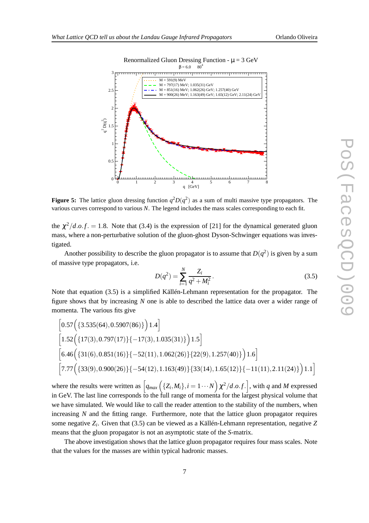

**Figure 5:** The lattice gluon dressing function  $q^2D(q^2)$  as a sum of multi massive type propagators. The various curves correspond to various *N*. The legend includes the mass scales corresponding to each fit.

the  $\chi^2/d.o.f. = 1.8$ . Note that (3.4) is the expression of [21] for the dynamical generated gluon mass, where a non-perturbative solution of the gluon-ghost Dyson-Schwinger equations was investigated.

Another possibility to describe the gluon propagator is to assume that  $D(q^2)$  is given by a sum of massive type propagators, i.e.

$$
D(q^2) = \sum_{i=1}^{N} \frac{Z_i}{q^2 + M_i^2}.
$$
\n(3.5)

Note that equation (3.5) is a simplified Källén-Lehmann representation for the propagator. The figure shows that by increasing *N* one is able to described the lattice data over a wider range of momenta. The various fits give

$$
\begin{aligned}[0.57&\left(\{3.535(64),0.5907(86)\}\right)1.4\right] \\ &\left[1.52\Big(\{17(3),0.797(17)\}\{-17(3),1.035(31)\}\Big)1.5\right] \\ &\left[6.46\Big(\{31(6),0.851(16)\}\{-52(11),1.062(26)\}\{22(9),1.257(40)\}\Big)1.6\right] \\ &\left[7.77\Big(\{33(9),0.900(26)\}\{-54(12),1.163(49)\}\{33(14),1.65(12)\}\{-11(11),2.11(24)\}\Big)1.1\right] \end{aligned}
$$

where the results were written as  $\left[q_{max}\left(\{Z_i, M_i\}, i=1\cdots N\right)\chi^2/d.o.f.\right]$ , with *q* and *M* expressed in GeV. The last line corresponds to the full range of momenta for the largest physical volume that we have simulated. We would like to call the reader attention to the stability of the numbers, when increasing *N* and the fitting range. Furthermore, note that the lattice gluon propagator requires some negative *Z<sup>i</sup>* . Given that (3.5) can be viewed as a Källén-Lehmann representation, negative *Z* means that the gluon propagator is not an asymptotic state of the *S*-matrix.

The above investigation shows that the lattice gluon propagator requires four mass scales. Note that the values for the masses are within typical hadronic masses.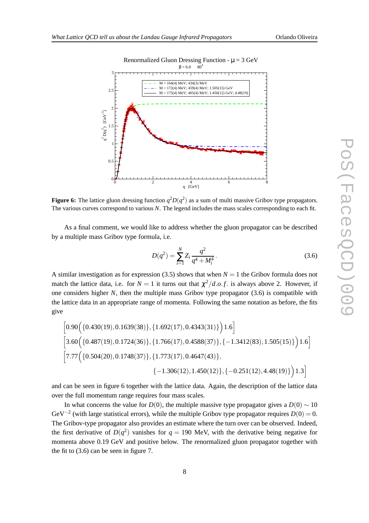



# **Figure 6:** The lattice gluon dressing function  $q^2D(q^2)$  as a sum of multi massive Gribov type propagators. The various curves correspond to various *N*. The legend includes the mass scales corresponding to each fit.

As a final comment, we would like to address whether the gluon propagator can be described by a multiple mass Gribov type formula, i.e.

$$
D(q^2) = \sum_{i=1}^{N} Z_i \frac{q^2}{q^4 + M_i^4}.
$$
\n(3.6)

A similar investigation as for expression (3.5) shows that when  $N = 1$  the Gribov formula does not match the lattice data, i.e. for  $N = 1$  it turns out that  $\chi^2/d.o.f.$  is always above 2. However, if one considers higher *N*, then the multiple mass Gribov type propagator (3.6) is compatible with the lattice data in an appropriate range of momenta. Following the same notation as before, the fits give

$$
\begin{bmatrix} 0.90 \left( \{ 0.430(19), 0.1639(38) \}, \{ 1.692(17), 0.4343(31) \} \right) 1.6 \end{bmatrix}
$$
  
\n
$$
\begin{bmatrix} 3.60 \left( \{ 0.487(19), 0.1724(36) \}, \{ 1.766(17), 0.4588(37) \}, \{ -1.3412(83), 1.505(15) \} \right) 1.6 \end{bmatrix}
$$
  
\n
$$
\begin{bmatrix} 7.77 \left( \{ 0.504(20), 0.1748(37) \}, \{ 1.773(17), 0.4647(43) \}, \{ -0.251(12), 4.48(19) \} \right) 1.3 \end{bmatrix}
$$

and can be seen in figure 6 together with the lattice data. Again, the description of the lattice data over the full momentum range requires four mass scales.

In what concerns the value for *D*(0), the multiple massive type propagator gives a *D*(0)  $\sim$  10 GeV−<sup>2</sup> (with large statistical errors), while the multiple Gribov type propagator requires *D*(0) = 0. The Gribov-type propagator also provides an estimate where the turn over can be observed. Indeed, the first derivative of  $D(q^2)$  vanishes for  $q = 190$  MeV, with the derivative being negative for momenta above 0.19 GeV and positive below. The renormalized gluon propagator together with the fit to (3.6) can be seen in figure 7.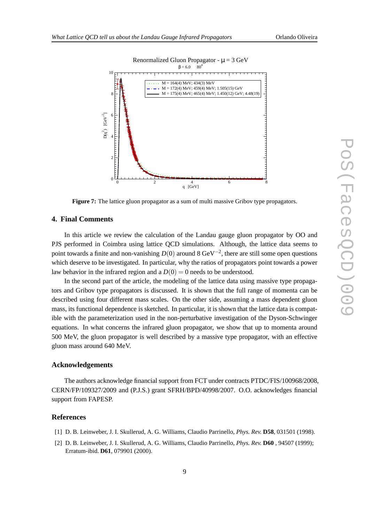

**Figure 7:** The lattice gluon propagator as a sum of multi massive Gribov type propagators.

#### **4. Final Comments**

In this article we review the calculation of the Landau gauge gluon propagator by OO and PJS performed in Coimbra using lattice QCD simulations. Although, the lattice data seems to point towards a finite and non-vanishing  $D(0)$  around 8 GeV<sup>-2</sup>, there are still some open questions which deserve to be investigated. In particular, why the ratios of propagators point towards a power law behavior in the infrared region and a  $D(0) = 0$  needs to be understood.

In the second part of the article, the modeling of the lattice data using massive type propagators and Gribov type propagators is discussed. It is shown that the full range of momenta can be described using four different mass scales. On the other side, assuming a mass dependent gluon mass, its functional dependence is sketched. In particular, it is shown that the lattice data is compatible with the parameterization used in the non-perturbative investigation of the Dyson-Schwinger equations. In what concerns the infrared gluon propagator, we show that up to momenta around 500 MeV, the gluon propagator is well described by a massive type propagator, with an effective gluon mass around 640 MeV.

# **Acknowledgements**

The authors acknowledge financial support from FCT under contracts PTDC/FIS/100968/2008, CERN/FP/109327/2009 and (P.J.S.) grant SFRH/BPD/40998/2007. O.O. acknowledges financial support from FAPESP.

## **References**

- [1] D. B. Leinweber, J. I. Skullerud, A. G. Williams, Claudio Parrinello, *Phys. Rev.* **D58**, 031501 (1998).
- [2] D. B. Leinweber, J. I. Skullerud, A. G. Williams, Claudio Parrinello, *Phys. Rev.* **D60** , 94507 (1999); Erratum-ibid. **D61**, 079901 (2000).